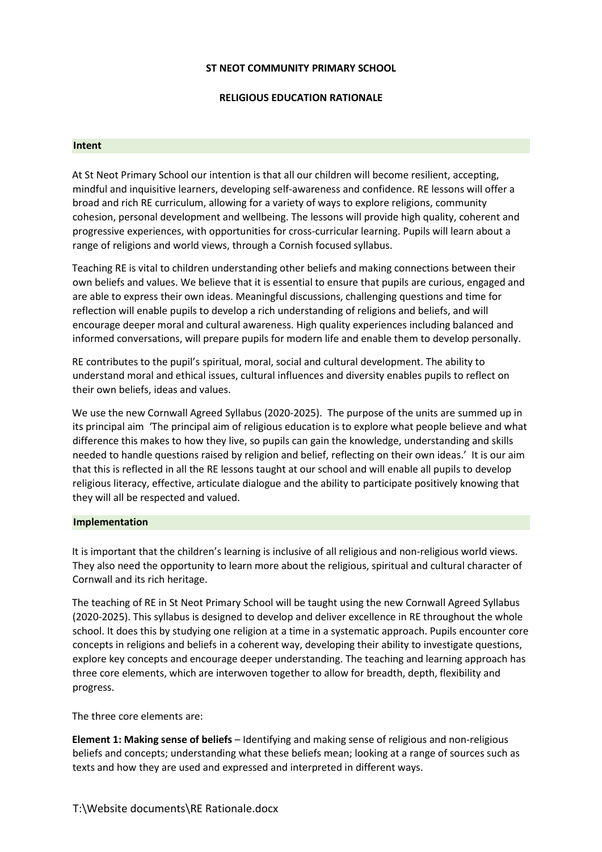# **ST NEOT COMMUNITY PRIMARY SCHOOL**

# **RELIGIOUS EDUCATION RATIONALE**

#### **Intent**

At St Neot Primary School our intention is that all our children will become resilient, accepting, mindful and inquisitive learners, developing self-awareness and confidence. RE lessons will offer a broad and rich RE curriculum, allowing for a variety of ways to explore religions, community cohesion, personal development and wellbeing. The lessons will provide high quality, coherent and progressive experiences, with opportunities for cross-curricular learning. Pupils will learn about a range of religions and world views, through a Cornish focused syllabus.

Teaching RE is vital to children understanding other beliefs and making connections between their own beliefs and values. We believe that it is essential to ensure that pupils are curious, engaged and are able to express their own ideas. Meaningful discussions, challenging questions and time for reflection will enable pupils to develop a rich understanding of religions and beliefs, and will encourage deeper moral and cultural awareness. High quality experiences including balanced and informed conversations, will prepare pupils for modern life and enable them to develop personally.

RE contributes to the pupil's spiritual, moral, social and cultural development. The ability to understand moral and ethical issues, cultural influences and diversity enables pupils to reflect on their own beliefs, ideas and values.

We use the new Cornwall Agreed Syllabus (2020-2025). The purpose of the units are summed up in its principal aim 'The principal aim of religious education is to explore what people believe and what difference this makes to how they live, so pupils can gain the knowledge, understanding and skills needed to handle questions raised by religion and belief, reflecting on their own ideas.' It is our aim that this is reflected in all the RE lessons taught at our school and will enable all pupils to develop religious literacy, effective, articulate dialogue and the ability to participate positively knowing that they will all be respected and valued.

### **Implementation**

It is important that the children's learning is inclusive of all religious and non-religious world views. They also need the opportunity to learn more about the religious, spiritual and cultural character of Cornwall and its rich heritage.

The teaching of RE in St Neot Primary School will be taught using the new Cornwall Agreed Syllabus (2020-2025). This syllabus is designed to develop and deliver excellence in RE throughout the whole school. It does this by studying one religion at a time in a systematic approach. Pupils encounter core concepts in religions and beliefs in a coherent way, developing their ability to investigate questions, explore key concepts and encourage deeper understanding. The teaching and learning approach has three core elements, which are interwoven together to allow for breadth, depth, flexibility and progress.

The three core elements are:

**Element 1: Making sense of beliefs** – Identifying and making sense of religious and non-religious beliefs and concepts; understanding what these beliefs mean; looking at a range of sources such as texts and how they are used and expressed and interpreted in different ways.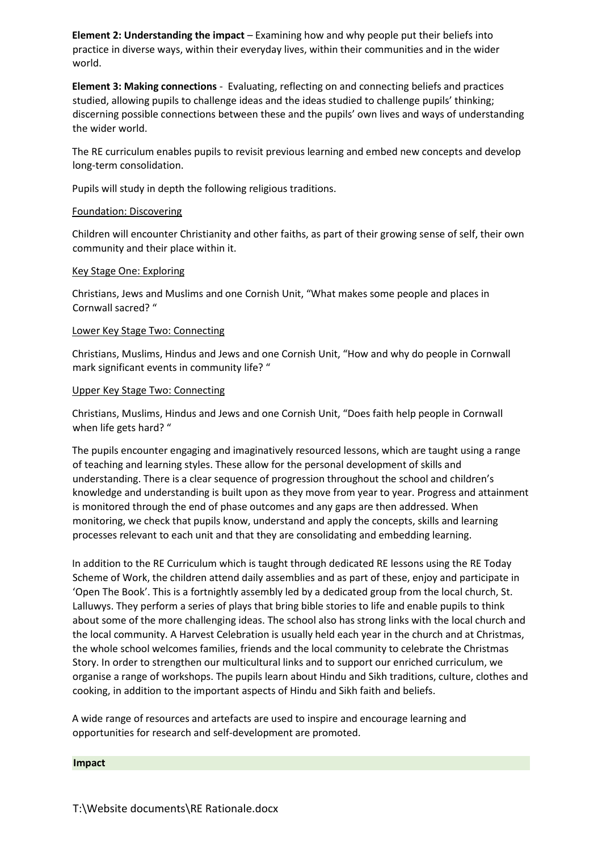**Element 2: Understanding the impact** – Examining how and why people put their beliefs into practice in diverse ways, within their everyday lives, within their communities and in the wider world.

**Element 3: Making connections** - Evaluating, reflecting on and connecting beliefs and practices studied, allowing pupils to challenge ideas and the ideas studied to challenge pupils' thinking; discerning possible connections between these and the pupils' own lives and ways of understanding the wider world.

The RE curriculum enables pupils to revisit previous learning and embed new concepts and develop long-term consolidation.

Pupils will study in depth the following religious traditions.

# Foundation: Discovering

Children will encounter Christianity and other faiths, as part of their growing sense of self, their own community and their place within it.

### Key Stage One: Exploring

Christians, Jews and Muslims and one Cornish Unit, "What makes some people and places in Cornwall sacred? "

### Lower Key Stage Two: Connecting

Christians, Muslims, Hindus and Jews and one Cornish Unit, "How and why do people in Cornwall mark significant events in community life? "

### Upper Key Stage Two: Connecting

Christians, Muslims, Hindus and Jews and one Cornish Unit, "Does faith help people in Cornwall when life gets hard? "

The pupils encounter engaging and imaginatively resourced lessons, which are taught using a range of teaching and learning styles. These allow for the personal development of skills and understanding. There is a clear sequence of progression throughout the school and children's knowledge and understanding is built upon as they move from year to year. Progress and attainment is monitored through the end of phase outcomes and any gaps are then addressed. When monitoring, we check that pupils know, understand and apply the concepts, skills and learning processes relevant to each unit and that they are consolidating and embedding learning.

In addition to the RE Curriculum which is taught through dedicated RE lessons using the RE Today Scheme of Work, the children attend daily assemblies and as part of these, enjoy and participate in 'Open The Book'. This is a fortnightly assembly led by a dedicated group from the local church, St. Lalluwys. They perform a series of plays that bring bible stories to life and enable pupils to think about some of the more challenging ideas. The school also has strong links with the local church and the local community. A Harvest Celebration is usually held each year in the church and at Christmas, the whole school welcomes families, friends and the local community to celebrate the Christmas Story. In order to strengthen our multicultural links and to support our enriched curriculum, we organise a range of workshops. The pupils learn about Hindu and Sikh traditions, culture, clothes and cooking, in addition to the important aspects of Hindu and Sikh faith and beliefs.

A wide range of resources and artefacts are used to inspire and encourage learning and opportunities for research and self-development are promoted.

### **Impact**